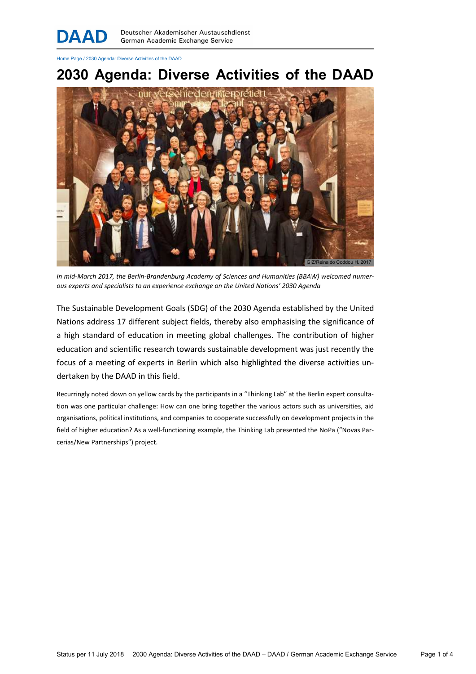Home Page / 2030 Agenda: Diverse Activities of the DAAD

# 2030 Agenda: Diverse Activities of the DAAD



In mid-March 2017, the Berlin-Brandenburg Academy of Sciences and Humanities (BBAW) welcomed numerous experts and specialists to an experience exchange on the United Nations' 2030 Agenda

The Sustainable Development Goals (SDG) of the 2030 Agenda established by the United Nations address 17 different subject fields, thereby also emphasising the significance of a high standard of education in meeting global challenges. The contribution of higher education and scientific research towards sustainable development was just recently the focus of a meeting of experts in Berlin which also highlighted the diverse activities undertaken by the DAAD in this field.

Recurringly noted down on yellow cards by the participants in a "Thinking Lab" at the Berlin expert consultation was one particular challenge: How can one bring together the various actors such as universities, aid organisations, political institutions, and companies to cooperate successfully on development projects in the field of higher education? As a well-functioning example, the Thinking Lab presented the NoPa ("Novas Parcerias/New Partnerships") project.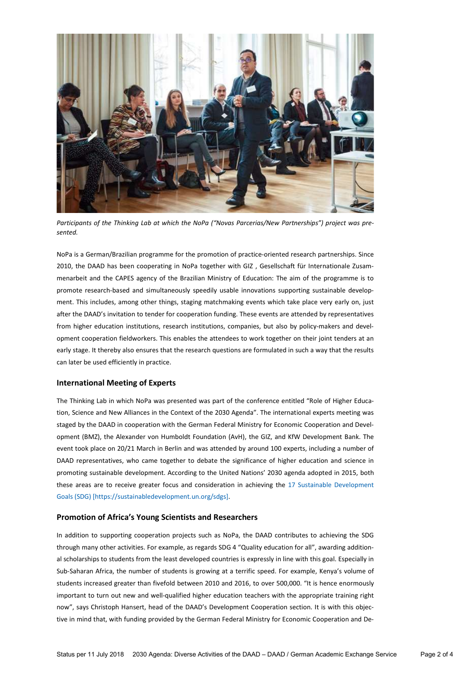

Participants of the Thinking Lab at which the NoPa ("Novas Parcerias/New Partnerships") project was presented.

NoPa is a German/Brazilian programme for the promotion of practice-oriented research partnerships. Since 2010, the DAAD has been cooperating in NoPa together with GIZ , Gesellschaft für Internationale Zusammenarbeit and the CAPES agency of the Brazilian Ministry of Education: The aim of the programme is to promote research-based and simultaneously speedily usable innovations supporting sustainable development. This includes, among other things, staging matchmaking events which take place very early on, just after the DAAD's invitation to tender for cooperation funding. These events are attended by representatives from higher education institutions, research institutions, companies, but also by policy-makers and development cooperation fieldworkers. This enables the attendees to work together on their joint tenders at an early stage. It thereby also ensures that the research questions are formulated in such a way that the results can later be used efficiently in practice.

## International Meeting of Experts

The Thinking Lab in which NoPa was presented was part of the conference entitled "Role of Higher Education, Science and New Alliances in the Context of the 2030 Agenda". The international experts meeting was staged by the DAAD in cooperation with the German Federal Ministry for Economic Cooperation and Development (BMZ), the Alexander von Humboldt Foundation (AvH), the GIZ, and KfW Development Bank. The event took place on 20/21 March in Berlin and was attended by around 100 experts, including a number of DAAD representatives, who came together to debate the significance of higher education and science in promoting sustainable development. According to the United Nations' 2030 agenda adopted in 2015, both these areas are to receive greater focus and consideration in achieving the 17 Sustainable Development Goals (SDG) [https://sustainabledevelopment.un.org/sdgs].

#### Promotion of Africa's Young Scientists and Researchers

In addition to supporting cooperation projects such as NoPa, the DAAD contributes to achieving the SDG through many other activities. For example, as regards SDG 4 "Quality education for all", awarding additional scholarships to students from the least developed countries is expressly in line with this goal. Especially in Sub-Saharan Africa, the number of students is growing at a terrific speed. For example, Kenya's volume of students increased greater than fivefold between 2010 and 2016, to over 500,000. "It is hence enormously important to turn out new and well-qualified higher education teachers with the appropriate training right now", says Christoph Hansert, head of the DAAD's Development Cooperation section. It is with this objective in mind that, with funding provided by the German Federal Ministry for Economic Cooperation and De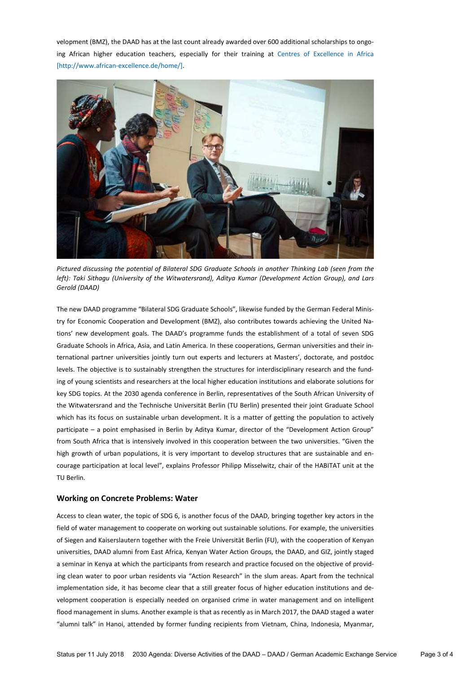velopment (BMZ), the DAAD has at the last count already awarded over 600 additional scholarships to ongoing African higher education teachers, especially for their training at Centres of Excellence in Africa [http://www.african-excellence.de/home/].



Pictured discussing the potential of Bilateral SDG Graduate Schools in another Thinking Lab (seen from the left): Taki Sithagu (University of the Witwatersrand), Aditya Kumar (Development Action Group), and Lars Gerold (DAAD)

The new DAAD programme "Bilateral SDG Graduate Schools", likewise funded by the German Federal Ministry for Economic Cooperation and Development (BMZ), also contributes towards achieving the United Nations' new development goals. The DAAD's programme funds the establishment of a total of seven SDG Graduate Schools in Africa, Asia, and Latin America. In these cooperations, German universities and their international partner universities jointly turn out experts and lecturers at Masters', doctorate, and postdoc levels. The objective is to sustainably strengthen the structures for interdisciplinary research and the funding of young scientists and researchers at the local higher education institutions and elaborate solutions for key SDG topics. At the 2030 agenda conference in Berlin, representatives of the South African University of the Witwatersrand and the Technische Universität Berlin (TU Berlin) presented their joint Graduate School which has its focus on sustainable urban development. It is a matter of getting the population to actively participate – a point emphasised in Berlin by Aditya Kumar, director of the "Development Action Group" from South Africa that is intensively involved in this cooperation between the two universities. "Given the high growth of urban populations, it is very important to develop structures that are sustainable and encourage participation at local level", explains Professor Philipp Misselwitz, chair of the HABITAT unit at the TU Berlin.

## Working on Concrete Problems: Water

Access to clean water, the topic of SDG 6, is another focus of the DAAD, bringing together key actors in the field of water management to cooperate on working out sustainable solutions. For example, the universities of Siegen and Kaiserslautern together with the Freie Universität Berlin (FU), with the cooperation of Kenyan universities, DAAD alumni from East Africa, Kenyan Water Action Groups, the DAAD, and GIZ, jointly staged a seminar in Kenya at which the participants from research and practice focused on the objective of providing clean water to poor urban residents via "Action Research" in the slum areas. Apart from the technical implementation side, it has become clear that a still greater focus of higher education institutions and development cooperation is especially needed on organised crime in water management and on intelligent flood management in slums. Another example is that as recently as in March 2017, the DAAD staged a water "alumni talk" in Hanoi, attended by former funding recipients from Vietnam, China, Indonesia, Myanmar,